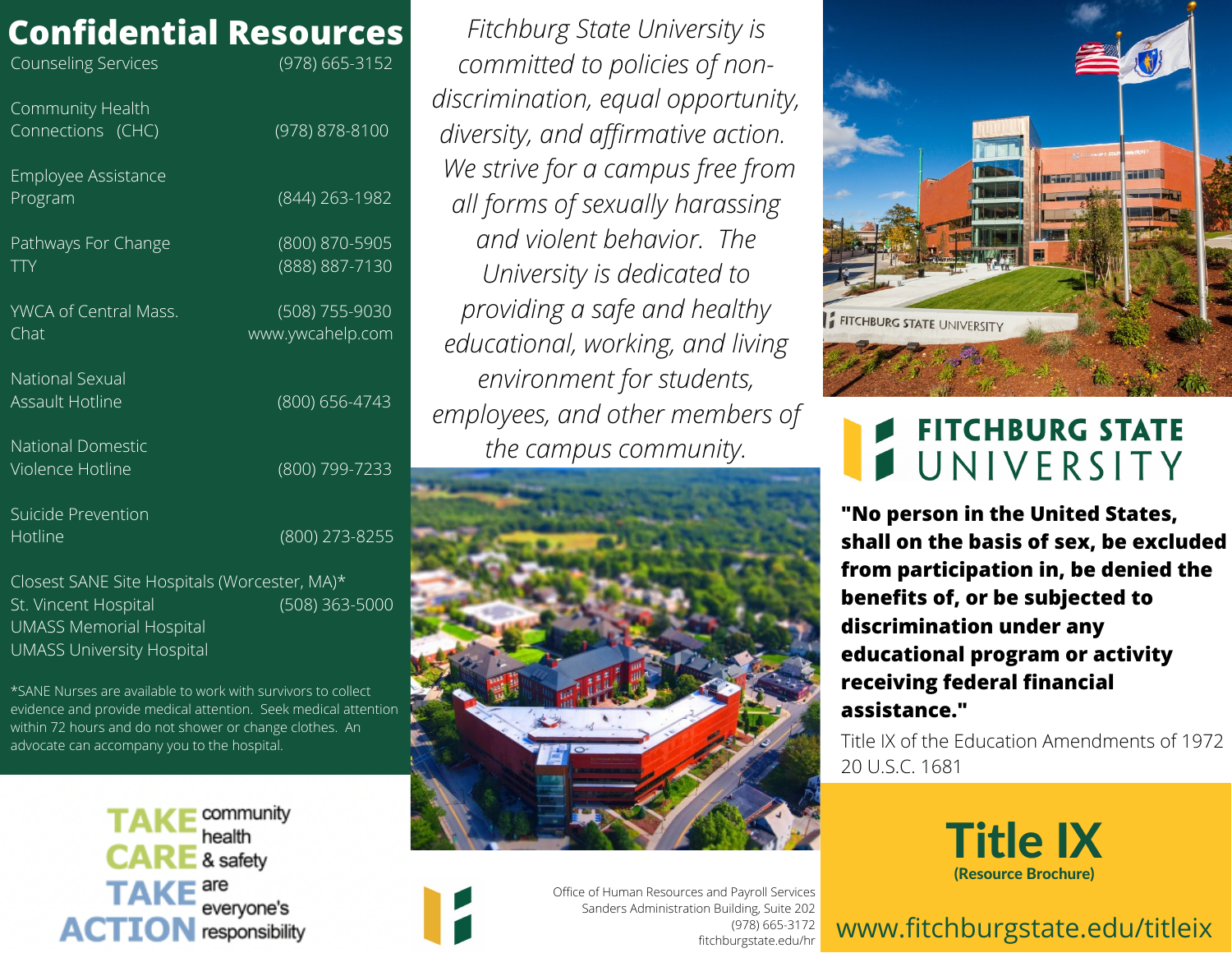### **Confidential Resources**

| <b>Counseling Services</b>                       | (978) 665-3152                     |
|--------------------------------------------------|------------------------------------|
| Community Health<br>Connections (CHC)            | (978) 878-8100                     |
| Employee Assistance<br>Program                   | (844) 263-1982                     |
| Pathways For Change<br><b>TTY</b>                | (800) 870-5905<br>(888) 887-7130   |
| YWCA of Central Mass.<br>Chat                    | (508) 755-9030<br>www.ywcahelp.com |
| <b>National Sexual</b><br><b>Assault Hotline</b> | (800) 656-4743                     |
| <b>National Domestic</b><br>Violence Hotline     | (800) 799-7233                     |
| Suicide Prevention<br>Hotline                    | (800) 273-8255                     |

Closest SANE Site Hospitals (Worcester, MA)\* St. Vincent Hospital (508) 363-5000 UMASS Memorial Hospital UMASS University Hospital

\*SANE Nurses are available to work with survivors to collect evidence and provide medical attention. Seek medical attention within 72 hours and do not shower or change clothes. An advocate can accompany you to the hospital.

> community health & safety everyone's **ACTION** responsibility

*EITCNDUTg STATE UNIVERSITY IS*<br> *COMMItted to policies of non-Fitchburg State University is committed to policies of nondiscrimination, equal opportunity, diversity, and affirmative action. We strive for a campus free from all forms of sexually harassing and violent behavior. The University is dedicated to providing a safe and healthy educational, working, and living environment for students, employees, and other members of the campus community.*





Office of Human Resources and Payroll Services Sanders Administration Building, Suite 202 (978) 665-3172 fitchburgstate.edu/hr



### **FITCHBURG STATE** UNIVERSITY

**"No person in the United States, shall on the basis of sex, be excluded from participation in, be denied the benefits of, or be subjected to discrimination under any educational program or activity receiving federal financial assistance."**

Title IX of the Education Amendments of 1972 20 U.S.C. 1681



### www.fitchburgstate.edu/titleix